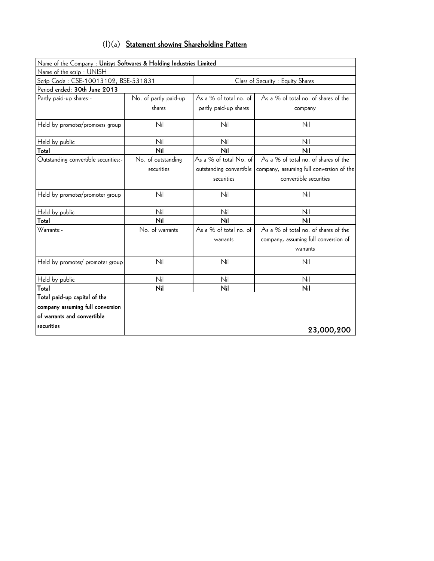| $(1)(a)$ Statement showing Shareholding Pattern |
|-------------------------------------------------|
|-------------------------------------------------|

| Name of the Company : Unisys Softwares & Holding Industries Limited |                       |                         |                                          |
|---------------------------------------------------------------------|-----------------------|-------------------------|------------------------------------------|
| Name of the scrip: UNISH                                            |                       |                         |                                          |
| Scrip Code: CSE-10013102, BSE-531831                                |                       |                         | Class of Security : Equity Shares        |
| Period ended: 30th June 2013                                        |                       |                         |                                          |
| Partly paid-up shares:-                                             | No. of partly paid-up | As a % of total no. of  | As a % of total no. of shares of the     |
|                                                                     | shares                | partly paid-up shares   | company                                  |
| Held by promoter/promoers group                                     | Nil                   | Nil                     | Nil                                      |
| Held by public                                                      | Nil                   | Nil                     | Nil                                      |
| Total                                                               | Nil                   | Nil                     | Nil                                      |
| Outstanding convertible securities:-                                | No. of outstanding    | As a % of total No. of  | As a % of total no. of shares of the     |
|                                                                     | securities            | outstanding convertible | company, assuming full conversion of the |
|                                                                     |                       | securities              | convertible securities                   |
| Held by promoter/promoter group                                     | Nil                   | Nil                     | Nil                                      |
| Held by public                                                      | Nil                   | Nil                     | Nil                                      |
| Total                                                               | Nil                   | Nil                     | Nil                                      |
| Warrants:-                                                          | No. of warrants       | As a % of total no. of  | As a % of total no. of shares of the     |
|                                                                     |                       | warrants                | company, assuming full conversion of     |
|                                                                     |                       |                         | warrants                                 |
| Held by promoter/ promoter group                                    | Nil                   | Nil                     | Nil                                      |
| Held by public                                                      | Nil                   | Nil                     | Nil                                      |
| Total                                                               | Nil                   | Nil                     | Nil                                      |
| Total paid-up capital of the                                        |                       |                         |                                          |
| company assuming full conversion                                    |                       |                         |                                          |
| of warrants and convertible                                         |                       |                         |                                          |
| securities                                                          |                       |                         | 23,000,200                               |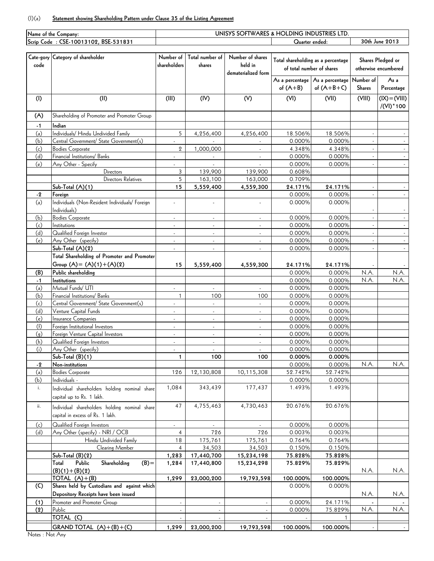## (I)(a) **Statement showing Shareholding Pattern under Clause 35 of the Listing Agreement**

| Name of the Company: |                                                |                          |                          |                          | UNISYS SOFTWARES & HOLDING INDUSTRIES LTD. |                                 |               |                      |  |
|----------------------|------------------------------------------------|--------------------------|--------------------------|--------------------------|--------------------------------------------|---------------------------------|---------------|----------------------|--|
|                      | Scrip Code: CSE-10013102, BSE-531831           |                          |                          |                          | Quarter ended:                             |                                 |               | 30th June 2013       |  |
|                      |                                                |                          |                          |                          |                                            |                                 |               |                      |  |
|                      | Cate-gory Category of shareholder              | Number of                | Total number of          | Number of shares         | Total shareholding as a percentage         |                                 |               |                      |  |
| code                 |                                                | shareholders             | shares                   | held in                  |                                            |                                 |               | Shares Pledged or    |  |
|                      |                                                |                          |                          | dematerialized form      | of total number of shares                  |                                 |               | otherwise encumbered |  |
|                      |                                                |                          |                          |                          |                                            | As a percentage As a percentage | Number of     | As a                 |  |
|                      |                                                |                          |                          |                          | of $(A+B)$                                 | of $(A+B+C)$                    | Shares        | Percentage           |  |
|                      |                                                |                          |                          |                          |                                            |                                 |               |                      |  |
| (1)                  | (II)                                           | (III)                    | (IV)                     | (V)                      | (VI)                                       | (VII)                           | (VIII)        | $(IX) = (VIII)$      |  |
|                      |                                                |                          |                          |                          |                                            |                                 |               | /(VI) * 100          |  |
| (A)                  | Shareholding of Promoter and Promoter Group    |                          |                          |                          |                                            |                                 |               |                      |  |
|                      |                                                |                          |                          |                          |                                            |                                 |               |                      |  |
| $-1$                 | Indian                                         |                          |                          |                          |                                            |                                 |               |                      |  |
| (a)                  | Individuals/ Hindu Undivided Family            | 5                        | 4,256,400                | 4,256,400                | 18.506%                                    | 18.506%                         |               |                      |  |
| (b)                  | Central Government/ State Government(s)        |                          |                          |                          | 0.000%                                     | 0.000%                          |               |                      |  |
| (c)                  | <b>Bodies Corporate</b>                        | $\overline{2}$           | 1,000,000                |                          | 4.348%                                     | 4.348%                          |               |                      |  |
| (d)                  | Financial Institutions/ Banks                  |                          |                          |                          | 0.000%                                     | 0.000%                          |               |                      |  |
| (e)                  | Any Other - Specify                            | $\mathbf{r}$             | $\mathcal{L}$            | $\mathcal{L}$            | 0.000%                                     | 0.000%                          | $\mathcal{L}$ |                      |  |
|                      | <b>Directors</b>                               | 3                        | 139,900                  | 139,900                  | 0.608%                                     |                                 |               |                      |  |
|                      | Directors Relatives                            | 5                        | 163,100                  | 163,000                  | 0.709%                                     |                                 |               |                      |  |
|                      | Sub-Total (A)(1)                               | 15                       | 5,559,400                | 4,559,300                | 24.171%                                    | 24.171%                         |               |                      |  |
| $-2$                 | Foreign                                        |                          |                          |                          | 0.000%                                     | 0.000%                          |               |                      |  |
| (a)                  | Individuals (Non-Resident Individuals/ Foreign | ÷,                       |                          |                          | 0.000%                                     | 0.000%                          |               |                      |  |
|                      | Individuals)                                   |                          |                          |                          |                                            |                                 |               |                      |  |
| (b)                  | <b>Bodies Corporate</b>                        | $\overline{\phantom{a}}$ | $\blacksquare$           | $\blacksquare$           | 0.000%                                     | 0.000%                          |               |                      |  |
|                      |                                                |                          |                          |                          | 0.000%                                     |                                 |               |                      |  |
| (c)                  | Institutions                                   | ÷,                       | ÷,                       |                          |                                            | 0.000%                          |               |                      |  |
| (d)                  | Qualified Foreign Investor                     |                          |                          |                          | 0.000%                                     | 0.000%                          |               |                      |  |
| (e)                  | Any Other (specify)                            | $\blacksquare$           | $\Box$                   | $\omega$                 | 0.000%                                     | 0.000%                          | $\mathcal{L}$ |                      |  |
|                      | Sub-Total (A)(2)                               | $\blacksquare$           | $\overline{\phantom{a}}$ | $\sim$                   | 0.000%                                     | 0.000%                          |               |                      |  |
|                      | Total Shareholding of Promoter and Promoter    |                          |                          |                          |                                            |                                 |               |                      |  |
|                      | Group $(A) = (A)(1) + (A)(2)$                  | 15                       | 5,559,400                | 4,559,300                | 24.171%                                    | 24.171%                         |               |                      |  |
| (B)                  | Public shareholding                            |                          |                          |                          | 0.000%                                     | 0.000%                          | N.A.          | N.A.                 |  |
| $-1$                 | Institutions                                   |                          |                          |                          | 0.000%                                     | 0.000%                          | N.A.          | N.A                  |  |
| (a)                  | Mutual Funds/ UTI                              |                          |                          |                          | 0.000%                                     | 0.000%                          |               |                      |  |
| (b)                  | Financial Institutions/ Banks                  | $\mathbf{1}$             | 100                      | 100                      | 0.000%                                     | 0.000%                          |               |                      |  |
|                      | Central Government/ State Government(s)        |                          |                          |                          | 0.000%                                     | 0.000%                          |               |                      |  |
| (c)                  | Venture Capital Funds                          | $\blacksquare$           | $\blacksquare$           | $\overline{\phantom{a}}$ | 0.000%                                     |                                 |               |                      |  |
| (d)                  |                                                | $\overline{\phantom{a}}$ | $\blacksquare$           | $\blacksquare$           |                                            | 0.000%                          |               |                      |  |
| (e)                  | Insurance Companies                            | ä,                       | ÷,                       | ä,                       | 0.000%                                     | 0.000%                          |               |                      |  |
| (f)                  | Foreign Institutional Investors                |                          |                          | $\blacksquare$           | 0.000%                                     | 0.000%                          |               |                      |  |
| (g)                  | Foreign Venture Capital Investors              | ÷,                       | ÷,                       | $\blacksquare$           | 0.000%                                     | 0.000%                          |               |                      |  |
| (h)                  | Qualified Foreign Investors                    | $\overline{a}$           | $\overline{\phantom{a}}$ | ÷                        | 0.000%                                     | 0.000%                          |               |                      |  |
| (i)                  | Any Other (specify)                            |                          |                          |                          | 0.000%                                     | 0.000%                          |               |                      |  |
|                      | Sub-Total (B)(1)                               | 1                        | 100                      | 100                      | 0.000%                                     | 0.000%                          |               |                      |  |
| $-2$                 | Non-institutions                               |                          |                          |                          | 0.000%                                     | 0.000%                          | N.A.          | N.A.                 |  |
| (a)                  | <b>Bodies Corporate</b>                        | 126                      | 12,130,808               | 10,115,308               | 52.742%                                    | 52.742%                         |               |                      |  |
| (b)                  | Individuals -                                  |                          |                          |                          | 0.000%                                     | 0.000%                          |               |                      |  |
| i.                   | Individual shareholders holding nominal share  | 1,084                    | 343,439                  | 177,437                  | 1.493%                                     | 1.493%                          |               |                      |  |
|                      | capital up to Rs. 1 lakh.                      |                          |                          |                          |                                            |                                 |               |                      |  |
|                      |                                                |                          |                          |                          |                                            |                                 |               |                      |  |
| ii.                  | Individual shareholders holding nominal share  | 47                       | 4,755,463                | 4,730,463                | 20.676%                                    | 20.676%                         |               |                      |  |
|                      | capital in excess of Rs. 1 lakh.               |                          |                          |                          |                                            |                                 |               |                      |  |
| (c)                  | Qualified Foreign Investors                    | $\blacksquare$           |                          |                          | 0.000%                                     | 0.000%                          |               |                      |  |
| (d)                  | Any Other (specify) - NRI / OCB                | 4                        | 726                      | 726                      | 0.003%                                     | 0.003%                          |               |                      |  |
|                      | Hindu Undivided Family                         | 18                       | 175,761                  | 175,761                  | 0.764%                                     | 0.764%                          |               |                      |  |
|                      |                                                | $\overline{4}$           |                          |                          | 0.150%                                     | 0.150%                          |               |                      |  |
|                      | Clearing Member                                |                          | 34,503                   | 34,503                   |                                            |                                 |               |                      |  |
|                      | Sub-Total (B)(2)                               | 1,283                    | 17,440,700               | 15,234,198               | 75.828%                                    | 75.828%                         |               |                      |  |
|                      | Public<br>Shareholding<br>$(B) =$<br>Total     | 1,284                    | 17,440,800               | 15,234,298               | 75.829%                                    | 75.829%                         |               |                      |  |
|                      | $(B)(1)+(B)(2)$                                |                          |                          |                          |                                            |                                 | N.A.          | N.A.                 |  |
|                      | TOTAL $(A)+(B)$                                | 1,299                    | 23,000,200               | 19,793,598               | 100.000%                                   | 100.000%                        |               |                      |  |
| (C)                  | Shares held by Custodians and against which    |                          |                          |                          | 0.000%                                     | 0.000%                          |               |                      |  |
|                      | Depository Receipts have been issued           |                          |                          |                          |                                            |                                 | N.A.          | N.A.                 |  |
| (1)                  | Promoter and Promoter Group                    | ÷                        |                          |                          | 0.000%                                     | 24.171%                         |               |                      |  |
| (2)                  | Public                                         |                          |                          |                          | 0.000%                                     | 75.829%                         | N.A.          | N.A.                 |  |
|                      | TOTAL (C)                                      |                          |                          |                          |                                            |                                 |               |                      |  |
|                      | GRAND TOTAL $(A)+(B)+(C)$                      |                          |                          |                          | 100.000%                                   |                                 |               |                      |  |
|                      |                                                | 1,299                    | 23,000,200               | 19,793,598               |                                            | 100.000%                        |               |                      |  |

Notes : Not Any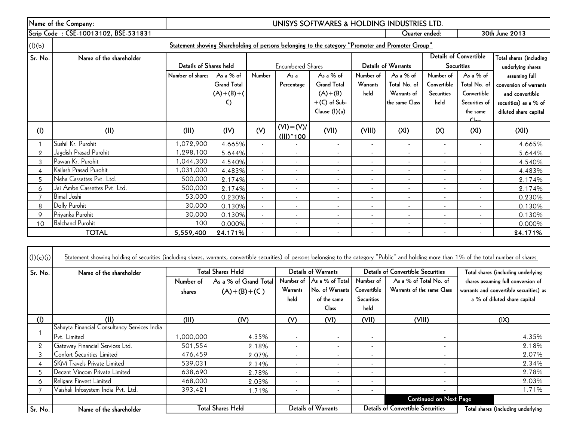|                | Name of the Company:                                                                              | UNISYS SOFTWARES & HOLDING INDUSTRIES LTD. |                    |                          |                               |                    |                          |                          |                          |                               |                         |
|----------------|---------------------------------------------------------------------------------------------------|--------------------------------------------|--------------------|--------------------------|-------------------------------|--------------------|--------------------------|--------------------------|--------------------------|-------------------------------|-------------------------|
|                | Scrip Code: CSE-10013102, BSE-531831                                                              |                                            |                    |                          |                               |                    |                          | Quarter ended:           |                          |                               | 30th June 2013          |
| (l)(b)         | Statement showing Shareholding of persons belonging to the category "Promoter and Promoter Group" |                                            |                    |                          |                               |                    |                          |                          |                          |                               |                         |
| Sr. No.        | Name of the shareholder                                                                           |                                            |                    |                          |                               |                    |                          |                          |                          | <b>Details of Convertible</b> | Total shares (including |
|                |                                                                                                   | Details of Shares held                     |                    |                          | <b>Encumbered Shares</b>      |                    |                          | Details of Warrants      |                          | <b>Securities</b>             | underlying shares       |
|                |                                                                                                   | Number of shares                           | As a % of          | Number                   | As a                          | As a % of          | Number of                | As a % of                | Number of                | As a $%$ of                   | assuming full           |
|                |                                                                                                   |                                            | <b>Grand Total</b> |                          | Percentage                    | <b>Grand Total</b> | Warrants                 | Total No. of             | Convertible              | Total No. of                  | conversion of warrants  |
|                |                                                                                                   |                                            | $(A)+(B)+(C)$      |                          |                               | $(A)+(B)$          | held                     | Warrants of              | <b>Securities</b>        | Convertible                   | and convertible         |
|                |                                                                                                   |                                            | C)                 |                          |                               | $+(C)$ of Sub-     |                          | the same Class           | held                     | Securities of                 | securities) as a % of   |
|                |                                                                                                   |                                            |                    |                          |                               | Clause (I)(a)      |                          |                          |                          | the same<br>C <sub>loc</sub>  | diluted share capital   |
| (1)            | (II)                                                                                              | (III)                                      | (IV)               | (V)                      | $(VI) = (V)/$<br>$(III)^*100$ | (VII)              | (VIII)                   | (XI)                     | (X)                      | (XI)                          | (XII)                   |
|                | Sushil Kr. Purohit                                                                                | 1,072,900                                  | 4.665%             | $\blacksquare$           |                               | $\sim$             | $\overline{\phantom{a}}$ | $\blacksquare$           | $\overline{\phantom{a}}$ | $\blacksquare$                | 4.665%                  |
| $\overline{2}$ | Jagdish Prasad Purohit                                                                            | 1,298,100                                  | 5.644%             | $\blacksquare$           | $\overline{\phantom{a}}$      | $\sim$             |                          | $\sim$                   |                          | $\blacksquare$                | 5.644%                  |
| 3              | Pawan Kr. Purohit                                                                                 | 1,044,300                                  | 4.540%             | $\blacksquare$           | $\blacksquare$                | $\sim$             |                          | $\sim$                   |                          | ٠                             | 4.540%                  |
| 4              | Kailash Prasad Purohit                                                                            | 1,031,000                                  | 4.483%             | $\blacksquare$           | $\overline{\phantom{a}}$      | $\sim$             |                          | $\overline{\phantom{a}}$ |                          | ٠                             | 4.483%                  |
| 5              | Neha Cassettes Pvt. Ltd.                                                                          | 500,000                                    | 2.174%             | $\overline{\phantom{a}}$ | $\overline{\phantom{a}}$      | $\sim$             | $\overline{\phantom{a}}$ | $\overline{\phantom{a}}$ | $\overline{\phantom{a}}$ | ٠                             | 2.174%                  |
| 6              | Jai Ambe Cassettes Pvt. Ltd.                                                                      | 500,000                                    | 2.174%             | $\blacksquare$           | $\overline{\phantom{a}}$      | ٠                  |                          | $\overline{\phantom{a}}$ |                          |                               | 2.174%                  |
|                | <b>Bimal Joshi</b>                                                                                | 53,000                                     | 0.230%             | $\sim$                   | $\overline{\phantom{a}}$      | $\sim$             |                          | $\overline{\phantom{a}}$ |                          | ٠                             | 0.230%                  |
| 8              | Dolly Purohit                                                                                     | 30,000                                     | 0.130%             | $\blacksquare$           | $\overline{\phantom{a}}$      | ٠                  |                          |                          |                          |                               | 0.130%                  |
| 9              | Priyanka Purohit                                                                                  | 30,000                                     | 0.130%             | $\blacksquare$           |                               | $\blacksquare$     |                          | $\overline{\phantom{a}}$ |                          |                               | 0.130%                  |
| 10             | <b>Balchand Purohit</b>                                                                           | 100                                        | 0.000%             | $\overline{\phantom{a}}$ | $\overline{\phantom{a}}$      | ٠                  |                          | ٠                        |                          |                               | 0.000%                  |
|                | <b>TOTAL</b>                                                                                      | 5,559,400                                  | 24.171%            |                          |                               | $\blacksquare$     |                          |                          |                          |                               | 24.171%                 |

| (l)(c)(i)      | <u>Statement showing holding of securities (including shares, warrants, convertible securities) of persons belonging to the category "Public" and holding more than 1% of the total number of shares</u> |                          |                          |                          |                           |                          |                                          |                                         |
|----------------|----------------------------------------------------------------------------------------------------------------------------------------------------------------------------------------------------------|--------------------------|--------------------------|--------------------------|---------------------------|--------------------------|------------------------------------------|-----------------------------------------|
| Sr. No.        | Name of the shareholder                                                                                                                                                                                  | <b>Total Shares Held</b> |                          |                          | Details of Warrants       |                          | <b>Details of Convertible Securities</b> | Total shares (including underlying      |
|                |                                                                                                                                                                                                          | Number of                | As a % of Grand Total    |                          | Number of As a % of Total | Number of                | As a % of Total No. of                   | shares assuming full conversion of      |
|                |                                                                                                                                                                                                          | shares                   | $(A)+(B)+(C)$            | Warrants                 | No. of Warrants           | Convertible              | Warrants of the same Class               | warrants and convertible securities) as |
|                |                                                                                                                                                                                                          |                          |                          | held                     | of the same               | Securities               |                                          | a % of diluted share capital            |
|                |                                                                                                                                                                                                          |                          |                          |                          | <b>Class</b>              | held                     |                                          |                                         |
| (1)            | (II)                                                                                                                                                                                                     | (III)                    | (IV)                     | (V)                      | (VI)                      | (VII)                    | (VIII)                                   | (IX)                                    |
|                | Sahayta Financial Consultancy Services India                                                                                                                                                             |                          |                          |                          |                           |                          |                                          |                                         |
|                | Pvt. Limited                                                                                                                                                                                             | 000,000,                 | 4.35%                    |                          |                           | $\overline{\phantom{a}}$ | $\sim$                                   | 4.35%                                   |
| $\overline{2}$ | Gateway Financial Services Ltd.                                                                                                                                                                          | 501,554                  | 2.18%                    |                          |                           | $\overline{\phantom{a}}$ | $\sim$                                   | 2.18%                                   |
| 3.             | Confort Securities Limited                                                                                                                                                                               | 476,459                  | 2.07%                    |                          |                           | ٠                        | $\sim$                                   | 2.07%                                   |
| 4              | <b>SKM Travels Private Limited</b>                                                                                                                                                                       | 539,031                  | 2.34%                    |                          |                           | $\overline{\phantom{a}}$ | $\sim$                                   | 2.34%                                   |
|                | Decent Vincom Private Limited                                                                                                                                                                            | 638,690                  | 2.78%                    |                          |                           | $\sim$                   | $\sim$                                   | 2.78%                                   |
| 6              | Religare Finvest Limited                                                                                                                                                                                 | 468,000                  | 2.03%                    |                          |                           | $\sim$                   | $\sim$                                   | 2.03%                                   |
|                | Vaishali Infosystem India Pvt. Ltd.                                                                                                                                                                      | 393,421                  | 1.71%                    | $\overline{\phantom{a}}$ |                           | $\sim$                   | $\sim$                                   | 1.71%                                   |
|                |                                                                                                                                                                                                          |                          |                          |                          |                           |                          | <b>Continued on Next Page</b>            |                                         |
| Sr. No.        | Name of the shareholder                                                                                                                                                                                  |                          | <b>Total Shares Held</b> |                          | Details of Warrants       |                          | <b>Details of Convertible Securities</b> | Total shares (including underlying      |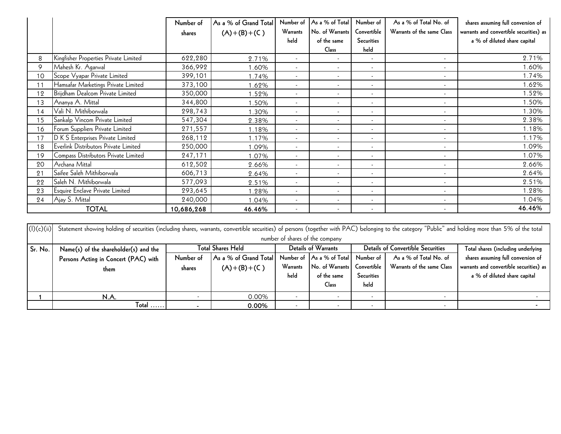|    |                                       | Number of<br>shares | As a % of Grand Total<br>$(A)+(B)+(C)$ | Number of<br>Warrants<br>held | As a % of Total<br>No. of Warrants<br>of the same<br>Class | Number of<br>Convertible<br><b>Securities</b><br>held | As a % of Total No. of<br>Warrants of the same Class | shares assuming full conversion of<br>warrants and convertible securities) as<br>a % of diluted share capital |
|----|---------------------------------------|---------------------|----------------------------------------|-------------------------------|------------------------------------------------------------|-------------------------------------------------------|------------------------------------------------------|---------------------------------------------------------------------------------------------------------------|
| 8  | Kingfisher Properties Private Limited | 622,280             | 2.71%                                  | $\overline{\phantom{a}}$      | $\sim$                                                     | ٠                                                     | $\overline{\phantom{a}}$                             | 2.71%                                                                                                         |
| 9  | Mahesh Kr. Agarwal                    | 366,992             | 1.60%                                  | $\sim$                        | $\overline{\phantom{a}}$                                   | $\overline{\phantom{a}}$                              | $\overline{\phantom{a}}$                             | 1.60%                                                                                                         |
| 10 | Scope Vyapar Private Limited          | 399,101             | 1.74%                                  | $\sim$                        | $\sim$                                                     | $\blacksquare$                                        | $\overline{\phantom{a}}$                             | 1.74%                                                                                                         |
| 11 | Hamsafar Marketings Private Limited   | 373,100             | 1.62%                                  | $\sim$                        | $\sim$                                                     | $\overline{\phantom{a}}$                              | $\sim$                                               | 1.62%                                                                                                         |
| 12 | Brijdham Dealcom Private Limited      | 350,000             | .52%                                   | $\overline{\phantom{a}}$      | $\overline{\phantom{a}}$                                   | $\overline{\phantom{a}}$                              | $\overline{\phantom{a}}$                             | 1.52%                                                                                                         |
| 13 | Ananya A. Mittal                      | 344,800             | .50%                                   |                               |                                                            | ٠                                                     | $\overline{\phantom{a}}$                             | 1.50%                                                                                                         |
| 14 | Vali N. Mithiborwala                  | 298,743             | .30%                                   | $\sim$                        |                                                            | $\overline{\phantom{a}}$                              | $\sim$                                               | 1.30%                                                                                                         |
| 15 | Sankalp Vincom Private Limited        | 547,304             | 2.38%                                  | $\overline{\phantom{a}}$      | $\overline{\phantom{a}}$                                   | $\overline{\phantom{a}}$                              | $\overline{\phantom{a}}$                             | 2.38%                                                                                                         |
| 16 | Forum Suppliers Private Limited       | 271,557             | 1.18%                                  | $\sim$                        | $\sim$                                                     | $\sim$                                                | $\overline{\phantom{a}}$                             | 1.18%                                                                                                         |
| 17 | D K S Enterprises Private Limited     | 268,112             | 1.17%                                  | $\overline{\phantom{a}}$      | $\overline{\phantom{a}}$                                   | ٠                                                     | $\overline{\phantom{a}}$                             | 1.17%                                                                                                         |
| 18 | Everlink Distributors Private Limited | 250,000             | 1.09%                                  |                               |                                                            | ٠                                                     | $\overline{\phantom{a}}$                             | 1.09%                                                                                                         |
| 19 | Compass Distributors Private Limited  | 247,171             | 1.07%                                  | $\sim$                        | $\overline{\phantom{a}}$                                   | $\overline{\phantom{a}}$                              | $\overline{\phantom{a}}$                             | 1.07%                                                                                                         |
| 20 | Archana Mittal                        | 612,502             | 2.66%                                  | $\sim$                        | $\sim$                                                     | $\overline{\phantom{a}}$                              | $\overline{\phantom{a}}$                             | 2.66%                                                                                                         |
| 21 | Saifee Saleh Mithiborwala             | 606,713             | 2.64%                                  | $\overline{\phantom{a}}$      | $\overline{\phantom{a}}$                                   | $\overline{\phantom{a}}$                              | $\sim$                                               | 2.64%                                                                                                         |
| 22 | Saleh N. Mithiborwala                 | 577,093             | 2.51%                                  | $\overline{\phantom{a}}$      | $\overline{\phantom{a}}$                                   | ٠                                                     | $\sim$                                               | 2.51%                                                                                                         |
| 23 | Esquire Enclave Private Limited       | 293,645             | 1.28%                                  | $\sim$                        | $\overline{\phantom{a}}$                                   | $\overline{\phantom{a}}$                              | $\overline{\phantom{a}}$                             | 1.28%                                                                                                         |
| 24 | Ajay S. Mittal                        | 240,000             | 1.04%                                  | $\sim$                        | $\overline{\phantom{a}}$                                   | $\overline{\phantom{a}}$                              | $\sim$                                               | 1.04%                                                                                                         |
|    | <b>TOTAL</b>                          | 10,686,268          | 46.46%                                 | $\overline{\phantom{a}}$      | $\overline{\phantom{a}}$                                   | $\overline{\phantom{a}}$                              | $\overline{\phantom{a}}$                             | 46.46%                                                                                                        |

|            |                                                                                                                                                                                                      |                          |                       |                          |                           |                                          |                            | 1.04%                                   |  |  |
|------------|------------------------------------------------------------------------------------------------------------------------------------------------------------------------------------------------------|--------------------------|-----------------------|--------------------------|---------------------------|------------------------------------------|----------------------------|-----------------------------------------|--|--|
|            | <b>TOTAL</b>                                                                                                                                                                                         | 10,686,268               | 46.46%                |                          |                           |                                          |                            | 46.46%                                  |  |  |
|            |                                                                                                                                                                                                      |                          |                       |                          |                           |                                          |                            |                                         |  |  |
| (l)(c)(ii) | Statement showing holding of securities (including shares, warrants, convertible securities) of persons (together with PAC) belonging to the category "Public" and holding more than 5% of the total |                          |                       |                          |                           |                                          |                            |                                         |  |  |
|            | number of shares of the company                                                                                                                                                                      |                          |                       |                          |                           |                                          |                            |                                         |  |  |
| Sr. No.    | Name(s) of the shareholder(s) and the                                                                                                                                                                | <b>Total Shares Held</b> |                       | Details of Warrants      |                           | <b>Details of Convertible Securities</b> |                            | Total shares (including underlying      |  |  |
|            | Persons Acting in Concert (PAC) with                                                                                                                                                                 | Number of                | As a % of Grand Total |                          | Number of As a % of Total | Number of                                | As a % of Total No. of     | shares assuming full conversion of      |  |  |
|            | them                                                                                                                                                                                                 | shares                   | $(A)+(B)+(C)$         | Warrants                 | No. of Warrants           | Convertible                              | Warrants of the same Class | warrants and convertible securities) as |  |  |
|            |                                                                                                                                                                                                      |                          |                       | held                     | of the same               | Securities                               |                            | a % of diluted share capital            |  |  |
|            |                                                                                                                                                                                                      |                          |                       |                          | Class                     | held                                     |                            |                                         |  |  |
|            | N.A.                                                                                                                                                                                                 |                          | 0.00%                 |                          |                           | $\overline{a}$                           |                            |                                         |  |  |
|            | $Total$                                                                                                                                                                                              |                          | 0.00%                 | $\overline{\phantom{a}}$ |                           | $\overline{\phantom{0}}$                 |                            |                                         |  |  |